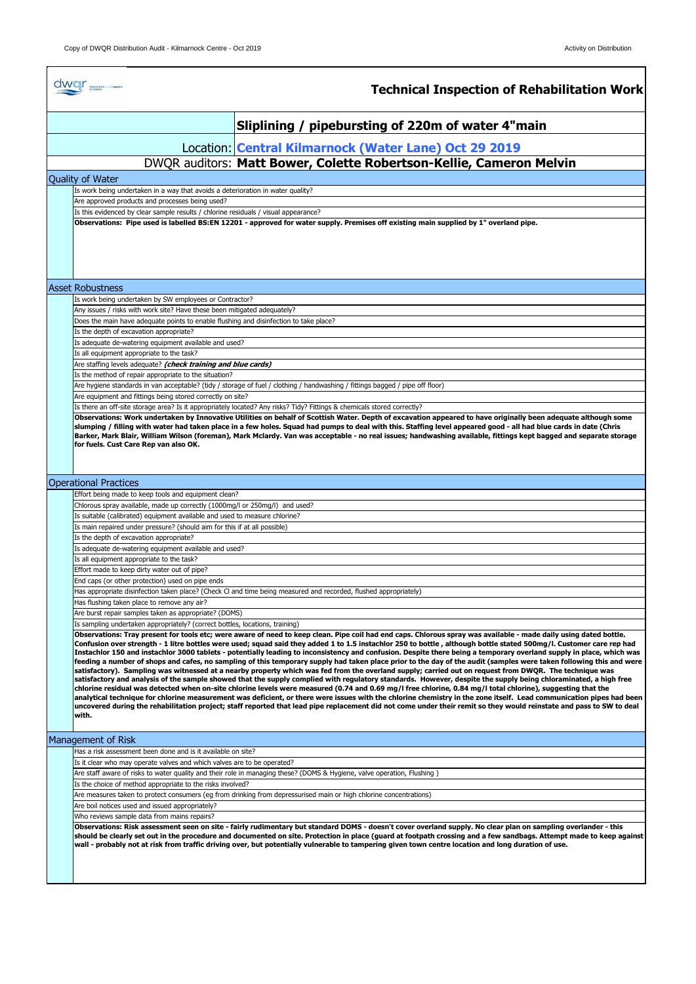|                                                                                                                                                                                       | dwar <sub>-</sub><br><b>Technical Inspection of Rehabilitation Work</b>                                                                                                                                                                                                                                                                                                                                                                                                                                                                                                                                                                                                                                                                                                                                                                                                                                                                                                                                                                                                                                                                                                                                                                                                                                                                                                                                                                                                                                                                      |  |  |  |  |  |
|---------------------------------------------------------------------------------------------------------------------------------------------------------------------------------------|----------------------------------------------------------------------------------------------------------------------------------------------------------------------------------------------------------------------------------------------------------------------------------------------------------------------------------------------------------------------------------------------------------------------------------------------------------------------------------------------------------------------------------------------------------------------------------------------------------------------------------------------------------------------------------------------------------------------------------------------------------------------------------------------------------------------------------------------------------------------------------------------------------------------------------------------------------------------------------------------------------------------------------------------------------------------------------------------------------------------------------------------------------------------------------------------------------------------------------------------------------------------------------------------------------------------------------------------------------------------------------------------------------------------------------------------------------------------------------------------------------------------------------------------|--|--|--|--|--|
|                                                                                                                                                                                       | Sliplining / pipebursting of 220m of water 4"main                                                                                                                                                                                                                                                                                                                                                                                                                                                                                                                                                                                                                                                                                                                                                                                                                                                                                                                                                                                                                                                                                                                                                                                                                                                                                                                                                                                                                                                                                            |  |  |  |  |  |
|                                                                                                                                                                                       | Location: Central Kilmarnock (Water Lane) Oct 29 2019                                                                                                                                                                                                                                                                                                                                                                                                                                                                                                                                                                                                                                                                                                                                                                                                                                                                                                                                                                                                                                                                                                                                                                                                                                                                                                                                                                                                                                                                                        |  |  |  |  |  |
|                                                                                                                                                                                       | DWQR auditors: Matt Bower, Colette Robertson-Kellie, Cameron Melvin                                                                                                                                                                                                                                                                                                                                                                                                                                                                                                                                                                                                                                                                                                                                                                                                                                                                                                                                                                                                                                                                                                                                                                                                                                                                                                                                                                                                                                                                          |  |  |  |  |  |
|                                                                                                                                                                                       | <b>Ouality of Water</b>                                                                                                                                                                                                                                                                                                                                                                                                                                                                                                                                                                                                                                                                                                                                                                                                                                                                                                                                                                                                                                                                                                                                                                                                                                                                                                                                                                                                                                                                                                                      |  |  |  |  |  |
|                                                                                                                                                                                       | Is work being undertaken in a way that avoids a deterioration in water quality?                                                                                                                                                                                                                                                                                                                                                                                                                                                                                                                                                                                                                                                                                                                                                                                                                                                                                                                                                                                                                                                                                                                                                                                                                                                                                                                                                                                                                                                              |  |  |  |  |  |
|                                                                                                                                                                                       | Are approved products and processes being used?                                                                                                                                                                                                                                                                                                                                                                                                                                                                                                                                                                                                                                                                                                                                                                                                                                                                                                                                                                                                                                                                                                                                                                                                                                                                                                                                                                                                                                                                                              |  |  |  |  |  |
|                                                                                                                                                                                       | Is this evidenced by clear sample results / chlorine residuals / visual appearance?<br>Observations: Pipe used is labelled BS:EN 12201 - approved for water supply. Premises off existing main supplied by 1" overland pipe.                                                                                                                                                                                                                                                                                                                                                                                                                                                                                                                                                                                                                                                                                                                                                                                                                                                                                                                                                                                                                                                                                                                                                                                                                                                                                                                 |  |  |  |  |  |
|                                                                                                                                                                                       | <b>Asset Robustness</b>                                                                                                                                                                                                                                                                                                                                                                                                                                                                                                                                                                                                                                                                                                                                                                                                                                                                                                                                                                                                                                                                                                                                                                                                                                                                                                                                                                                                                                                                                                                      |  |  |  |  |  |
|                                                                                                                                                                                       | Is work being undertaken by SW employees or Contractor?                                                                                                                                                                                                                                                                                                                                                                                                                                                                                                                                                                                                                                                                                                                                                                                                                                                                                                                                                                                                                                                                                                                                                                                                                                                                                                                                                                                                                                                                                      |  |  |  |  |  |
|                                                                                                                                                                                       | Any issues / risks with work site? Have these been mitigated adequately?                                                                                                                                                                                                                                                                                                                                                                                                                                                                                                                                                                                                                                                                                                                                                                                                                                                                                                                                                                                                                                                                                                                                                                                                                                                                                                                                                                                                                                                                     |  |  |  |  |  |
|                                                                                                                                                                                       | Does the main have adequate points to enable flushing and disinfection to take place?<br>Is the depth of excavation appropriate?                                                                                                                                                                                                                                                                                                                                                                                                                                                                                                                                                                                                                                                                                                                                                                                                                                                                                                                                                                                                                                                                                                                                                                                                                                                                                                                                                                                                             |  |  |  |  |  |
|                                                                                                                                                                                       | Is adequate de-watering equipment available and used?                                                                                                                                                                                                                                                                                                                                                                                                                                                                                                                                                                                                                                                                                                                                                                                                                                                                                                                                                                                                                                                                                                                                                                                                                                                                                                                                                                                                                                                                                        |  |  |  |  |  |
|                                                                                                                                                                                       | Is all equipment appropriate to the task?                                                                                                                                                                                                                                                                                                                                                                                                                                                                                                                                                                                                                                                                                                                                                                                                                                                                                                                                                                                                                                                                                                                                                                                                                                                                                                                                                                                                                                                                                                    |  |  |  |  |  |
|                                                                                                                                                                                       | Are staffing levels adequate? (check training and blue cards)                                                                                                                                                                                                                                                                                                                                                                                                                                                                                                                                                                                                                                                                                                                                                                                                                                                                                                                                                                                                                                                                                                                                                                                                                                                                                                                                                                                                                                                                                |  |  |  |  |  |
|                                                                                                                                                                                       | Is the method of repair appropriate to the situation?<br>Are hygiene standards in van acceptable? (tidy / storage of fuel / clothing / handwashing / fittings bagged / pipe off floor)                                                                                                                                                                                                                                                                                                                                                                                                                                                                                                                                                                                                                                                                                                                                                                                                                                                                                                                                                                                                                                                                                                                                                                                                                                                                                                                                                       |  |  |  |  |  |
|                                                                                                                                                                                       | Are equipment and fittings being stored correctly on site?                                                                                                                                                                                                                                                                                                                                                                                                                                                                                                                                                                                                                                                                                                                                                                                                                                                                                                                                                                                                                                                                                                                                                                                                                                                                                                                                                                                                                                                                                   |  |  |  |  |  |
| Is there an off-site storage area? Is it appropriately located? Any risks? Tidy? Fittings & chemicals stored correctly?                                                               |                                                                                                                                                                                                                                                                                                                                                                                                                                                                                                                                                                                                                                                                                                                                                                                                                                                                                                                                                                                                                                                                                                                                                                                                                                                                                                                                                                                                                                                                                                                                              |  |  |  |  |  |
|                                                                                                                                                                                       | Barker, Mark Blair, William Wilson (foreman), Mark Mclardy. Van was acceptable - no real issues; handwashing available, fittings kept bagged and separate storage<br>for fuels. Cust Care Rep van also OK.                                                                                                                                                                                                                                                                                                                                                                                                                                                                                                                                                                                                                                                                                                                                                                                                                                                                                                                                                                                                                                                                                                                                                                                                                                                                                                                                   |  |  |  |  |  |
| <b>Operational Practices</b>                                                                                                                                                          |                                                                                                                                                                                                                                                                                                                                                                                                                                                                                                                                                                                                                                                                                                                                                                                                                                                                                                                                                                                                                                                                                                                                                                                                                                                                                                                                                                                                                                                                                                                                              |  |  |  |  |  |
|                                                                                                                                                                                       | Effort being made to keep tools and equipment clean?                                                                                                                                                                                                                                                                                                                                                                                                                                                                                                                                                                                                                                                                                                                                                                                                                                                                                                                                                                                                                                                                                                                                                                                                                                                                                                                                                                                                                                                                                         |  |  |  |  |  |
|                                                                                                                                                                                       | Chlorous spray available, made up correctly (1000mg/l or 250mg/l) and used?<br>Is suitable (calibrated) equipment available and used to measure chlorine?                                                                                                                                                                                                                                                                                                                                                                                                                                                                                                                                                                                                                                                                                                                                                                                                                                                                                                                                                                                                                                                                                                                                                                                                                                                                                                                                                                                    |  |  |  |  |  |
|                                                                                                                                                                                       | Is main repaired under pressure? (should aim for this if at all possible)                                                                                                                                                                                                                                                                                                                                                                                                                                                                                                                                                                                                                                                                                                                                                                                                                                                                                                                                                                                                                                                                                                                                                                                                                                                                                                                                                                                                                                                                    |  |  |  |  |  |
|                                                                                                                                                                                       | Is the depth of excavation appropriate?                                                                                                                                                                                                                                                                                                                                                                                                                                                                                                                                                                                                                                                                                                                                                                                                                                                                                                                                                                                                                                                                                                                                                                                                                                                                                                                                                                                                                                                                                                      |  |  |  |  |  |
|                                                                                                                                                                                       | Is adequate de-watering equipment available and used?<br>Is all equipment appropriate to the task?                                                                                                                                                                                                                                                                                                                                                                                                                                                                                                                                                                                                                                                                                                                                                                                                                                                                                                                                                                                                                                                                                                                                                                                                                                                                                                                                                                                                                                           |  |  |  |  |  |
|                                                                                                                                                                                       | Effort made to keep dirty water out of pipe?                                                                                                                                                                                                                                                                                                                                                                                                                                                                                                                                                                                                                                                                                                                                                                                                                                                                                                                                                                                                                                                                                                                                                                                                                                                                                                                                                                                                                                                                                                 |  |  |  |  |  |
|                                                                                                                                                                                       | End caps (or other protection) used on pipe ends                                                                                                                                                                                                                                                                                                                                                                                                                                                                                                                                                                                                                                                                                                                                                                                                                                                                                                                                                                                                                                                                                                                                                                                                                                                                                                                                                                                                                                                                                             |  |  |  |  |  |
|                                                                                                                                                                                       | Has appropriate disinfection taken place? (Check CI and time being measured and recorded, flushed appropriately)                                                                                                                                                                                                                                                                                                                                                                                                                                                                                                                                                                                                                                                                                                                                                                                                                                                                                                                                                                                                                                                                                                                                                                                                                                                                                                                                                                                                                             |  |  |  |  |  |
|                                                                                                                                                                                       | Has flushing taken place to remove any air?<br>Are burst repair samples taken as appropriate? (DOMS)                                                                                                                                                                                                                                                                                                                                                                                                                                                                                                                                                                                                                                                                                                                                                                                                                                                                                                                                                                                                                                                                                                                                                                                                                                                                                                                                                                                                                                         |  |  |  |  |  |
|                                                                                                                                                                                       | Is sampling undertaken appropriately? (correct bottles, locations, training)                                                                                                                                                                                                                                                                                                                                                                                                                                                                                                                                                                                                                                                                                                                                                                                                                                                                                                                                                                                                                                                                                                                                                                                                                                                                                                                                                                                                                                                                 |  |  |  |  |  |
|                                                                                                                                                                                       | Observations: Tray present for tools etc; were aware of need to keep clean. Pipe coil had end caps. Chlorous spray was available - made daily using dated bottle.<br>Confusion over strength - 1 litre bottles were used; squad said they added 1 to 1.5 instachlor 250 to bottle , although bottle stated 500mg/l. Customer care rep had<br>Instachlor 150 and instachlor 3000 tablets - potentially leading to inconsistency and confusion. Despite there being a temporary overland supply in place, which was<br>feeding a number of shops and cafes, no sampling of this temporary supply had taken place prior to the day of the audit (samples were taken following this and were<br>satisfactory). Sampling was witnessed at a nearby property which was fed from the overland supply; carried out on request from DWQR. The technique was<br>satisfactory and analysis of the sample showed that the supply complied with regulatory standards. However, despite the supply being chloraminated, a high free<br>chlorine residual was detected when on-site chlorine levels were measured (0.74 and 0.69 mg/l free chlorine, 0.84 mg/l total chlorine), suggesting that the<br>analytical technique for chlorine measurement was deficient, or there were issues with the chlorine chemistry in the zone itself. Lead communication pipes had been<br>uncovered during the rehabilitation project; staff reported that lead pipe replacement did not come under their remit so they would reinstate and pass to SW to deal<br>with. |  |  |  |  |  |
|                                                                                                                                                                                       | Management of Risk                                                                                                                                                                                                                                                                                                                                                                                                                                                                                                                                                                                                                                                                                                                                                                                                                                                                                                                                                                                                                                                                                                                                                                                                                                                                                                                                                                                                                                                                                                                           |  |  |  |  |  |
|                                                                                                                                                                                       | Has a risk assessment been done and is it available on site?                                                                                                                                                                                                                                                                                                                                                                                                                                                                                                                                                                                                                                                                                                                                                                                                                                                                                                                                                                                                                                                                                                                                                                                                                                                                                                                                                                                                                                                                                 |  |  |  |  |  |
|                                                                                                                                                                                       | Is it clear who may operate valves and which valves are to be operated?                                                                                                                                                                                                                                                                                                                                                                                                                                                                                                                                                                                                                                                                                                                                                                                                                                                                                                                                                                                                                                                                                                                                                                                                                                                                                                                                                                                                                                                                      |  |  |  |  |  |
| Are staff aware of risks to water quality and their role in managing these? (DOMS & Hygiene, valve operation, Flushing)<br>Is the choice of method appropriate to the risks involved? |                                                                                                                                                                                                                                                                                                                                                                                                                                                                                                                                                                                                                                                                                                                                                                                                                                                                                                                                                                                                                                                                                                                                                                                                                                                                                                                                                                                                                                                                                                                                              |  |  |  |  |  |
| Are measures taken to protect consumers (eg from drinking from depressurised main or high chlorine concentrations)                                                                    |                                                                                                                                                                                                                                                                                                                                                                                                                                                                                                                                                                                                                                                                                                                                                                                                                                                                                                                                                                                                                                                                                                                                                                                                                                                                                                                                                                                                                                                                                                                                              |  |  |  |  |  |
| Are boil notices used and issued appropriately?                                                                                                                                       |                                                                                                                                                                                                                                                                                                                                                                                                                                                                                                                                                                                                                                                                                                                                                                                                                                                                                                                                                                                                                                                                                                                                                                                                                                                                                                                                                                                                                                                                                                                                              |  |  |  |  |  |
| Who reviews sample data from mains repairs?                                                                                                                                           |                                                                                                                                                                                                                                                                                                                                                                                                                                                                                                                                                                                                                                                                                                                                                                                                                                                                                                                                                                                                                                                                                                                                                                                                                                                                                                                                                                                                                                                                                                                                              |  |  |  |  |  |
|                                                                                                                                                                                       | Observations: Risk assessment seen on site - fairly rudimentary but standard DOMS - doesn't cover overland supply. No clear plan on sampling overlander - this<br>should be clearly set out in the procedure and documented on site. Protection in place (guard at footpath crossing and a few sandbags. Attempt made to keep against<br>wall - probably not at risk from traffic driving over, but potentially vulnerable to tampering given town centre location and long duration of use.                                                                                                                                                                                                                                                                                                                                                                                                                                                                                                                                                                                                                                                                                                                                                                                                                                                                                                                                                                                                                                                 |  |  |  |  |  |